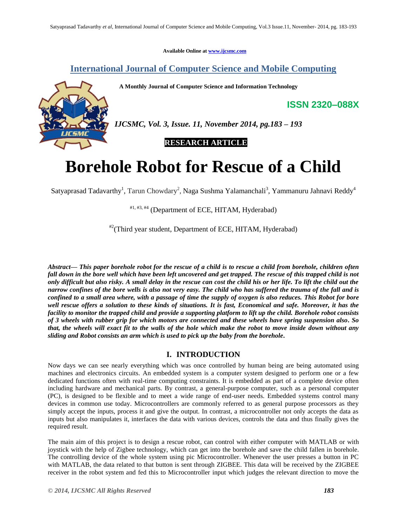**Available Online at www.ijcsmc.com**

# **International Journal of Computer Science and Mobile Computing**

 **A Monthly Journal of Computer Science and Information Technology**



*IJCSMC, Vol. 3, Issue. 11, November 2014, pg.183 – 193*

# **RESEARCH ARTICLE**

# **Borehole Robot for Rescue of a Child**

Satyaprasad Tadavarthy<sup>1</sup>, Tarun Chowdary<sup>2</sup>, Naga Sushma Yalamanchali<sup>3</sup>, Yammanuru Jahnavi Reddy<sup>4</sup>

 $#1, #3, #4$  (Department of ECE, HITAM, Hyderabad)

#2(Third year student, Department of ECE, HITAM, Hyderabad)

*Abstract— This paper borehole robot for the rescue of a child is to rescue a child from borehole, children often*  fall down in the bore well which have been left uncovered and get trapped. The rescue of this trapped child is not *only difficult but also risky. A small delay in the rescue can cost the child his or her life. To lift the child out the narrow confines of the bore wells is also not very easy. The child who has suffered the trauma of the fall and is confined to a small area where, with a passage of time the supply of oxygen is also reduces. This Robot for bore well rescue offers a solution to these kinds of situations. It is fast, Economical and safe. Moreover, it has the facility to monitor the trapped child and provide a supporting platform to lift up the child. Borehole robot consists of 3 wheels with rubber grip for which motors are connected and these wheels have spring suspension also. So that, the wheels will exact fit to the walls of the hole which make the robot to move inside down without any sliding and Robot consists an arm which is used to pick up the baby from the borehole.*

# **I. INTRODUCTION**

Now days we can see nearly everything which was once controlled by human being are being automated using machines and electronics circuits. An embedded system is a computer system designed to perform one or a few dedicated functions often with real-time computing constraints. It is embedded as part of a complete device often including hardware and mechanical parts. By contrast, a general-purpose computer, such as a personal computer (PC), is designed to be flexible and to meet a wide range of end-user needs. Embedded systems control many devices in common use today. Microcontrollers are commonly referred to as general purpose processors as they simply accept the inputs, process it and give the output. In contrast, a microcontroller not only accepts the data as inputs but also manipulates it, interfaces the data with various devices, controls the data and thus finally gives the required result.

The main aim of this project is to design a rescue robot, can control with either computer with MATLAB or with joystick with the help of Zigbee technology, which can get into the borehole and save the child fallen in borehole. The controlling device of the whole system using pic Microcontroller. Whenever the user presses a button in PC with MATLAB, the data related to that button is sent through ZIGBEE. This data will be received by the ZIGBEE receiver in the robot system and fed this to Microcontroller input which judges the relevant direction to move the

**ISSN 2320–088X**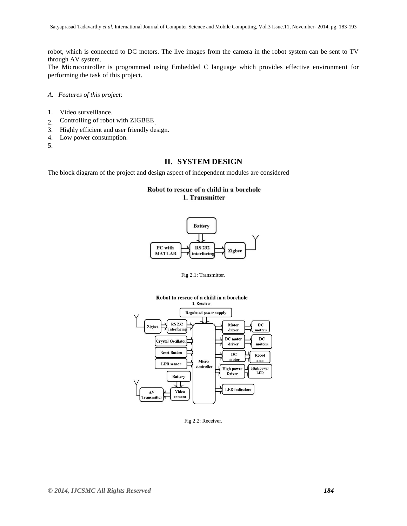robot, which is connected to DC motors. The live images from the camera in the robot system can be sent to TV through AV system.

The Microcontroller is programmed using Embedded C language which provides effective environment for performing the task of this project.

- *A. Features of this project:*
- 1. Video surveillance.
- 2. Controlling of robot with ZIGBEE
- 3. Highly efficient and user friendly design.
- 4. Low power consumption.
- 5.

# **II. SYSTEM DESIGN**

The block diagram of the project and design aspect of independent modules are considered

# Robot to rescue of a child in a borehole 1. Transmitter



Fig 2.1: Transmitter.



Fig 2.2: Receiver.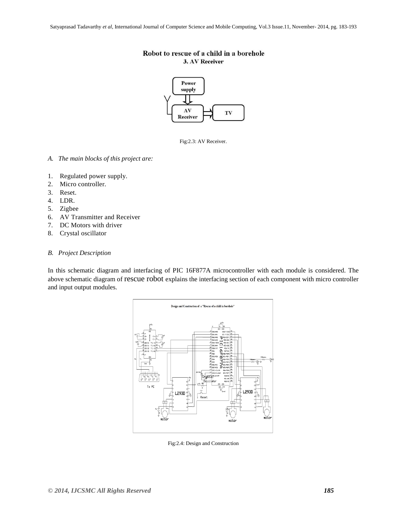# Robot to rescue of a child in a borehole 3. AV Receiver



Fig:2.3: AV Receiver.

- *A. The main blocks of this project are:*
- 1. Regulated power supply.
- 2. Micro controller.
- 3. Reset.
- 4. LDR.
- 5. Zigbee
- 6. AV Transmitter and Receiver
- 7. DC Motors with driver
- 8. Crystal oscillator

## *B. Project Description*

In this schematic diagram and interfacing of PIC 16F877A microcontroller with each module is considered. The above schematic diagram of rescue robot explains the interfacing section of each component with micro controller and input output modules.



Fig:2.4: Design and Construction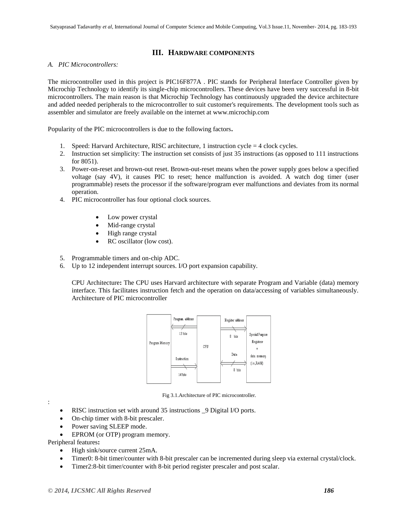# **III. HARDWARE COMPONENTS**

## *A. PIC Microcontrollers:*

The microcontroller used in this project is PIC16F877A . PIC stands for Peripheral Interface Controller given by Microchip Technology to identify its single-chip microcontrollers. These devices have been very successful in 8-bit microcontrollers. The main reason is that Microchip Technology has continuously upgraded the device architecture and added needed peripherals to the microcontroller to suit customer's requirements. The development tools such as assembler and simulator are freely available on the internet at www.microchip.com

Popularity of the PIC microcontrollers is due to the following factors**.**

- 1. Speed: Harvard Architecture, RISC architecture, 1 instruction cycle = 4 clock cycles.
- 2. Instruction set simplicity: The instruction set consists of just 35 instructions (as opposed to 111 instructions for 8051).
- 3. Power-on-reset and brown-out reset. Brown-out-reset means when the power supply goes below a specified voltage (say 4V), it causes PIC to reset; hence malfunction is avoided. A watch dog timer (user programmable) resets the processor if the software/program ever malfunctions and deviates from its normal operation.
- 4. PIC microcontroller has four optional clock sources.
	- Low power crystal
	- Mid-range crystal
	- High range crystal
	- RC oscillator (low cost).
- 5. Programmable timers and on-chip ADC.
- 6. Up to 12 independent interrupt sources. I/O port expansion capability.

CPU Architecture**:** The CPU uses Harvard architecture with separate Program and Variable (data) memory interface. This facilitates instruction fetch and the operation on data/accessing of variables simultaneously. Architecture of PIC microcontroller



Fig 3.1.Architecture of PIC microcontroller.

- :
- RISC instruction set with around 35 instructions \_9 Digital I/O ports.
- On-chip timer with 8-bit prescaler.
- Power saving SLEEP mode.
- EPROM (or OTP) program memory.

Peripheral features**:**

- High sink/source current 25mA.
- Timer0: 8-bit timer/counter with 8-bit prescaler can be incremented during sleep via external crystal/clock.
- Timer2:8-bit timer/counter with 8-bit period register prescaler and post scalar.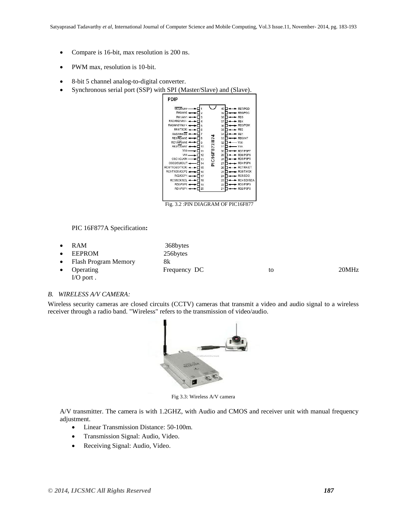- Compare is 16-bit, max resolution is 200 ns.
- PWM max, resolution is 10-bit.
- 8-bit 5 channel analog-to-digital converter.
- Synchronous serial port (SSP) with SPI (Master/Slave) and (Slave).

| <b>MCLRAPP</b>   |          |                  | 40             | RB7/PGD          |
|------------------|----------|------------------|----------------|------------------|
| RA0/AN0          | 2        |                  | 39             | RB6/PGC          |
| <b>RA1/AN1</b>   | ۸        |                  | 38             | RB <sub>5</sub>  |
| RA2/AN2/VREF-    | 4        |                  | 37             | R <sub>R</sub>   |
| RA3/AN3/VREE+    | R,       |                  | 36             | RB3/PGM          |
| RA4/T0CKI-       | R        |                  | 35             | RB <sub>2</sub>  |
| RA5/AN4/SS =     | 7        |                  | 34             | RB1              |
| RE0/RD/AN5       | R.       | 6F877/874        | 33             | RB0/INT          |
| RE1/WR/AN6       | $\Omega$ |                  | 32             | VDD              |
| RE2/CS/AN7 -     | 10       |                  | 31             | <b>VSS</b>       |
| Vnp.             | 11       |                  | 30             | RD7/PSP7         |
| <b>Vss</b>       | 12       |                  | 29             | RD6/PSP6         |
| OSC1/CLKIN-      | 13       | PIC <sub>1</sub> | 28             | RD5/PSP5         |
| OSC2/CLKOUT      | 14       |                  | 27             | RD4/PSP4         |
| RC0/T1OSO/T1CKI+ | 15       |                  | 26             | RC7/RX/DT        |
| RC1/T1OSI/CCP2 - | 16       |                  | 25             | <b>ROS/TX/CK</b> |
| $RC2CCP1 -$      | 17       |                  | 24             | RC5/SDO          |
| RC3/SCK/SCL <    | 18       |                  | 23             | RC4/SDI/SDA      |
| RD0/PSP0 <       | 19       |                  | $\overline{z}$ | RD3/PSP3         |
| RD1/PSP1-        | 20       |                  | 21             | RD2/PSP2         |

Fig. 3.2 :PIN DIAGRAM OF PIC16F877

PIC 16F877A Specification**:**

|           | $\bullet$ RAM          | 368bytes     |    |       |
|-----------|------------------------|--------------|----|-------|
|           | $\bullet$ EEPROM       | 256bytes     |    |       |
|           | • Flash Program Memory | 8k           |    |       |
| $\bullet$ | Operating              | Frequency DC | to | 20MHz |
|           | $I/O$ port.            |              |    |       |

#### *B. WIRELESS A/V CAMERA:*

Wireless security cameras are closed circuits (CCTV) cameras that transmit a video and audio signal to a wireless receiver through a radio band. "Wireless" refers to the transmission of video/audio.



Fig 3.3: Wireless A/V camera

A/V transmitter. The camera is with 1.2GHZ, with Audio and CMOS and receiver unit with manual frequency adjustment.

- Linear Transmission Distance: 50-100m.
- Transmission Signal: Audio, Video.
- Receiving Signal: Audio, Video.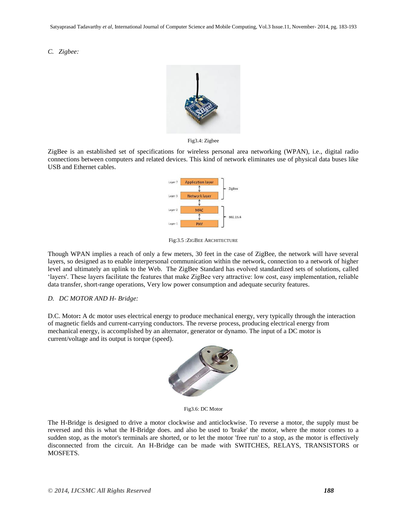*C. Zigbee:*



Fig3.4: Zigbee

ZigBee is an established set of specifications for wireless personal area networking (WPAN), i.e., digital radio connections between computers and related devices. This kind of network eliminates use of physical data buses like USB and Ethernet cables.



Fig:3.5 :ZIGBEE ARCHITECTURE

Though WPAN implies a reach of only a few meters, 30 feet in the case of ZigBee, the network will have several layers, so designed as to enable interpersonal communication within the network, connection to a network of higher level and ultimately an uplink to the Web. The ZigBee Standard has evolved standardized sets of solutions, called "layers'. These layers facilitate the features that make ZigBee very attractive: low cost, easy implementation, reliable data transfer, short-range operations, Very low power consumption and adequate security features.

## *D. DC MOTOR AND H- Bridge:*

D.C. Motor**:** A dc motor uses electrical energy to produce mechanical energy, very typically through the interaction of magnetic fields and current-carrying conductors. The reverse process, producing electrical energy from mechanical energy, is accomplished by an alternator, generator or dynamo. The input of a DC motor is current/voltage and its output is torque (speed).



Fig3.6: DC Motor

The H-Bridge is designed to drive a motor clockwise and anticlockwise. To reverse a motor, the supply must be reversed and this is what the H-Bridge does. and also be used to 'brake' the motor, where the motor comes to a sudden stop, as the motor's terminals are shorted, or to let the motor 'free run' to a stop, as the motor is effectively disconnected from the circuit. An H-Bridge can be made with SWITCHES, RELAYS, TRANSISTORS or MOSFETS.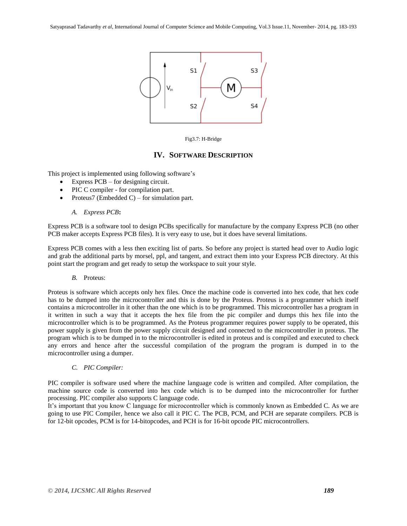

Fig3.7: H-Bridge

# **IV. SOFTWARE DESCRIPTION**

This project is implemented using following software"s

- Express PCB for designing circuit.
- PIC C compiler for compilation part.
- Proteus7 (Embedded C) for simulation part.

## *A. Express PCB***:**

Express PCB is a software tool to design PCBs specifically for manufacture by the company Express PCB (no other PCB maker accepts Express PCB files). It is very easy to use, but it does have several limitations.

Express PCB comes with a less then exciting list of parts. So before any project is started head over to Audio logic and grab the additional parts by morsel, ppl, and tangent, and extract them into your Express PCB directory. At this point start the program and get ready to setup the workspace to suit your style.

*B.* Proteus:

Proteus is software which accepts only hex files. Once the machine code is converted into hex code, that hex code has to be dumped into the microcontroller and this is done by the Proteus. Proteus is a programmer which itself contains a microcontroller in it other than the one which is to be programmed. This microcontroller has a program in it written in such a way that it accepts the hex file from the pic compiler and dumps this hex file into the microcontroller which is to be programmed. As the Proteus programmer requires power supply to be operated, this power supply is given from the power supply circuit designed and connected to the microcontroller in proteus. The program which is to be dumped in to the microcontroller is edited in proteus and is compiled and executed to check any errors and hence after the successful compilation of the program the program is dumped in to the microcontroller using a dumper.

*C. PIC Compiler:*

PIC compiler is software used where the machine language code is written and compiled. After compilation, the machine source code is converted into hex code which is to be dumped into the microcontroller for further processing. PIC compiler also supports C language code.

It's important that you know C language for microcontroller which is commonly known as Embedded C. As we are going to use PIC Compiler, hence we also call it PIC C. The PCB, PCM, and PCH are separate compilers. PCB is for 12-bit opcodes, PCM is for 14-bitopcodes, and PCH is for 16-bit opcode PIC microcontrollers.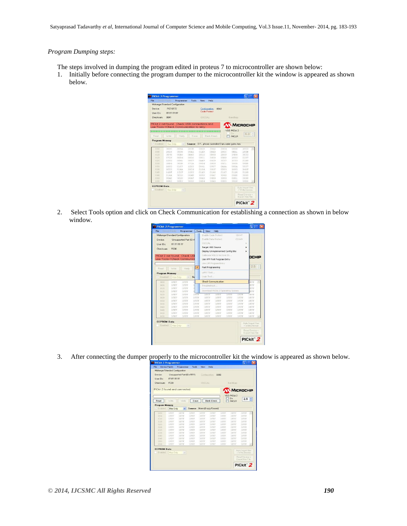## *Program Dumping steps:*

- The steps involved in dumping the program edited in proteus 7 to microcontroller are shown below:
- 1. Initially before connecting the program dumper to the microcontroller kit the window is appeared as shown below.



2. Select Tools option and click on Check Communication for establishing a connection as shown in below window.

|                       | <b>Elevision Fishnilly Programmer</b>                                                           | Tools                                                                                                         | View                                                                                                                                                | Help                                                             |                                                                                                                                         |                                                                                                                                                                                 |                                                                                                                                                    |                                                                         |  |
|-----------------------|-------------------------------------------------------------------------------------------------|---------------------------------------------------------------------------------------------------------------|-----------------------------------------------------------------------------------------------------------------------------------------------------|------------------------------------------------------------------|-----------------------------------------------------------------------------------------------------------------------------------------|---------------------------------------------------------------------------------------------------------------------------------------------------------------------------------|----------------------------------------------------------------------------------------------------------------------------------------------------|-------------------------------------------------------------------------|--|
|                       | Midrange/Standard Configuration                                                                 |                                                                                                               | Enable Code Protect                                                                                                                                 |                                                                  |                                                                                                                                         | Ctrl+P.                                                                                                                                                                         |                                                                                                                                                    |                                                                         |  |
|                       | Unsupported Part (ID=8                                                                          |                                                                                                               | Enable Data Protect                                                                                                                                 |                                                                  |                                                                                                                                         | Ctrl+D                                                                                                                                                                          |                                                                                                                                                    |                                                                         |  |
|                       |                                                                                                 |                                                                                                               | OSCCAL                                                                                                                                              |                                                                  |                                                                                                                                         |                                                                                                                                                                                 |                                                                                                                                                    |                                                                         |  |
|                       |                                                                                                 |                                                                                                               |                                                                                                                                                     |                                                                  |                                                                                                                                         |                                                                                                                                                                                 |                                                                                                                                                    |                                                                         |  |
|                       |                                                                                                 |                                                                                                               |                                                                                                                                                     |                                                                  |                                                                                                                                         |                                                                                                                                                                                 |                                                                                                                                                    |                                                                         |  |
|                       |                                                                                                 |                                                                                                               |                                                                                                                                                     |                                                                  |                                                                                                                                         |                                                                                                                                                                                 |                                                                                                                                                    |                                                                         |  |
|                       |                                                                                                 |                                                                                                               |                                                                                                                                                     |                                                                  |                                                                                                                                         |                                                                                                                                                                                 | DCHIP                                                                                                                                              |                                                                         |  |
|                       |                                                                                                 |                                                                                                               |                                                                                                                                                     |                                                                  |                                                                                                                                         |                                                                                                                                                                                 |                                                                                                                                                    |                                                                         |  |
|                       |                                                                                                 |                                                                                                               |                                                                                                                                                     |                                                                  |                                                                                                                                         |                                                                                                                                                                                 |                                                                                                                                                    |                                                                         |  |
| Writes                | Veilly                                                                                          |                                                                                                               |                                                                                                                                                     |                                                                  |                                                                                                                                         |                                                                                                                                                                                 |                                                                                                                                                    |                                                                         |  |
| <b>Program Memory</b> |                                                                                                 |                                                                                                               |                                                                                                                                                     |                                                                  |                                                                                                                                         |                                                                                                                                                                                 |                                                                                                                                                    |                                                                         |  |
| Hex Only              | $\sim$                                                                                          | <sub>Sd</sub>                                                                                                 |                                                                                                                                                     |                                                                  |                                                                                                                                         |                                                                                                                                                                                 |                                                                                                                                                    |                                                                         |  |
| 3FFF                  | <b>SFFF</b>                                                                                     | ä                                                                                                             |                                                                                                                                                     |                                                                  |                                                                                                                                         |                                                                                                                                                                                 | FFF                                                                                                                                                |                                                                         |  |
| 3FFF                  | 3FFF                                                                                            | в                                                                                                             |                                                                                                                                                     |                                                                  |                                                                                                                                         |                                                                                                                                                                                 | FFF                                                                                                                                                |                                                                         |  |
|                       |                                                                                                 |                                                                                                               |                                                                                                                                                     |                                                                  |                                                                                                                                         |                                                                                                                                                                                 |                                                                                                                                                    |                                                                         |  |
|                       |                                                                                                 |                                                                                                               |                                                                                                                                                     |                                                                  |                                                                                                                                         |                                                                                                                                                                                 |                                                                                                                                                    |                                                                         |  |
|                       |                                                                                                 |                                                                                                               |                                                                                                                                                     |                                                                  |                                                                                                                                         |                                                                                                                                                                                 |                                                                                                                                                    |                                                                         |  |
|                       |                                                                                                 |                                                                                                               |                                                                                                                                                     |                                                                  |                                                                                                                                         |                                                                                                                                                                                 |                                                                                                                                                    |                                                                         |  |
|                       |                                                                                                 |                                                                                                               |                                                                                                                                                     |                                                                  |                                                                                                                                         |                                                                                                                                                                                 |                                                                                                                                                    |                                                                         |  |
|                       |                                                                                                 |                                                                                                               |                                                                                                                                                     |                                                                  |                                                                                                                                         |                                                                                                                                                                                 |                                                                                                                                                    |                                                                         |  |
| 3FFF                  | 3FFF                                                                                            | <b>SEFF</b>                                                                                                   | 3FFF                                                                                                                                                | <b>SFFF</b>                                                      | <b>SFFF</b>                                                                                                                             | 3FFF                                                                                                                                                                            | 3FFF                                                                                                                                               |                                                                         |  |
| <b>SEEF</b>           | 3FFF                                                                                            | <b>SFFF</b>                                                                                                   | <b>SEFF</b>                                                                                                                                         | 3FFF                                                             | <b>SFFF</b>                                                                                                                             | <b>SFFF</b>                                                                                                                                                                     | <b>SEFF</b>                                                                                                                                        |                                                                         |  |
| 3FFF                  | <b>SFFF</b>                                                                                     | 3FFF                                                                                                          | <b>SFFF</b>                                                                                                                                         | 3FFF                                                             | <b>SFFF</b>                                                                                                                             | <b>SFFF</b>                                                                                                                                                                     | <b>SFFF</b>                                                                                                                                        |                                                                         |  |
|                       | FC00<br><b>SFFF</b><br><b>SFFF</b><br>3FFF<br><b>SFFF</b><br><b>SFFF</b><br><b>SFFF</b><br>3FFF | FF FF FF FF<br><b>SFFF</b><br><b>SFFF</b><br>3FFF<br><b>SFFF</b><br><b>SFFF</b><br><b>SFFF</b><br><b>SFFF</b> | PICkit 2 not found. Check US<br>use Tools->Check Communica<br>$\checkmark$<br>ä<br><b>SEFF</b><br><b>SFFF</b><br><b>SEEF</b><br><b>SFFF</b><br>3FFF | <b>SFFF</b><br>3FFF<br><b>SFFF</b><br><b>BFFF</b><br><b>SFFF</b> | Target VDD Source<br>Fast Programming<br>LIART Tool<br>Logic Tool<br>Troubleshoot<br><b>SFFF</b><br>3FFF<br><b>SFFF</b><br>3FFF<br>3FFF | Calibrate VDD & Set Linit ID<br>Use VPP First Program Entry<br>Use LVP Program Entry<br>Check Communication<br><b>SFFF</b><br><b>SEFF</b><br><b>SFFF</b><br><b>SFFF</b><br>3FFF | Display Unimplemented Config Bits<br>Download PICkit 2 Operating System<br><b>SFFF</b><br><b>SFFF</b><br><b>SFFF</b><br><b>SFFF</b><br><b>SFFF</b> | 2.5<br>FFF<br>FFF<br><b>SFFF</b><br>3FFF<br>3FFF<br><b>SFFF</b><br>3FFF |  |

3. After connecting the dumper properly to the microcontroller kit the window is appeared as shown below.

| Checksum                     | FC00               |              |             | <b>GSECAL:</b> |                             |             | BiandGap:                 |             |  |
|------------------------------|--------------------|--------------|-------------|----------------|-----------------------------|-------------|---------------------------|-------------|--|
| PICkit 2 found and connected |                    |              |             |                |                             |             | MICROCHIP<br>VDD PICkii 2 |             |  |
| Read                         | Wike               | Verdu        | Erase       |                | <b>Blank Check</b>          |             | 0n<br><b>JMCLB</b>        | 2.5         |  |
| <b>Program Memory</b>        |                    |              |             |                |                             |             |                           |             |  |
| Enabled<br>$\sim$            | <b>Hex Only</b>    | $\checkmark$ |             |                | Source: None (Empty/Erased) |             |                           |             |  |
| 000                          | <b>SFFF</b>        | SFFF         | <b>SEFF</b> | <b>SFFF</b>    | <b>SEFF</b>                 | <b>SFFF</b> | <b>SFFF</b>               | <b>SFFF</b> |  |
| <b>QDB</b>                   | <b>BEFF</b>        | 3FFF         | 3FFF        | <b>BFFF</b>    | 3FFF                        | 3FFF        | <b>SFFF</b>               | <b>SFFF</b> |  |
| 0.10                         | <b>SEFF</b>        | <b>SEFF</b>  | 3FFF        | <b>SFFF</b>    | 3FFF.                       | 3FFF        | 3KFF.                     | <b>SFFF</b> |  |
| 018                          | <b>SFFF</b>        | <b>SFFF</b>  | <b>SFFF</b> | 3FFF           | <b>SFFF</b>                 | <b>SFFF</b> | 3FFF                      | <b>SFFF</b> |  |
| 020                          | 3FFF               | 3FFF.        | <b>SFFF</b> | 3FFF           | 3FFF                        | 3FFF        | 3FFF                      | 3FFF.       |  |
| 028                          | <b>SFFF</b>        | 3FFF.        | SFFF.       | <b>SFFF</b>    | <b>SFFF</b>                 | <b>SEFF</b> | <b>SFFF</b>               | 3FFF.       |  |
| 0.30                         | <b>SFFF</b>        | <b>SFFF</b>  | <b>SFFF</b> | <b>SFFF</b>    | <b>SFFF</b>                 | 3FFF        | <b>SFFF</b>               | OFFF        |  |
| 0.38                         | <b><i>SFFF</i></b> | <b>SFFF</b>  | 3FFF        | 3FFF           | 3FFF                        | <b>BFFF</b> | 3FFF.                     | 3FFF        |  |
| 0.40                         | <b>SFFF</b>        | <b>SFFF</b>  | <b>SFFF</b> | <b>SEEF</b>    | <b>SFFF</b>                 | <b>SFFF</b> | <b>SFFF</b>               | <b>SFFF</b> |  |
| 0.48                         | SFFF               | 3FFF         | <b>SFFF</b> | <b>SFFF</b>    | <b>SFFF</b>                 | <b>SFFF</b> | 3777                      | <b>SFFF</b> |  |
|                              | <b>SFFF</b>        | 3FFF         | <b>SFFF</b> | <b>SFFF</b>    | <b>SFFF</b>                 | <b>SFFF</b> | 3FFF                      | 3FFF.       |  |
| 050<br>0.58                  |                    |              |             |                |                             | 3FFF        | <b>SFFF</b>               | <b>SFFF</b> |  |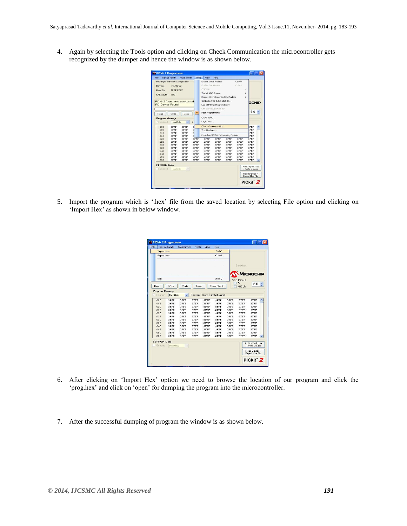4. Again by selecting the Tools option and clicking on Check Communication the microcontroller gets recognized by the dumper and hence the window is as shown below.

|                              | Device Family       | Programmer                      | Tools                   | View                                                              | Help                        |                                    |                            |                     |  |
|------------------------------|---------------------|---------------------------------|-------------------------|-------------------------------------------------------------------|-----------------------------|------------------------------------|----------------------------|---------------------|--|
|                              |                     | Midrange/Standard Configuration |                         | Enable Code Protect                                               |                             |                                    | $CrI+P$                    |                     |  |
| <b>Device:</b>               | <b>PIC16F72</b>     |                                 |                         | Enable Data Protect                                               |                             |                                    | Ctrl+D                     |                     |  |
| User IDs:                    | FF FF FF FF         |                                 |                         | <b>OSCCAL</b>                                                     |                             |                                    |                            |                     |  |
|                              |                     |                                 |                         | Target VDD Source<br>٠<br>Display Unimplemented Config Bits<br>þ. |                             |                                    |                            |                     |  |
| Checksum:                    | FREE                |                                 |                         |                                                                   |                             |                                    |                            |                     |  |
|                              |                     |                                 |                         |                                                                   |                             |                                    |                            |                     |  |
| PICkit 2 found and connected |                     |                                 |                         |                                                                   | Calibrate VDD & Set Unit ID |                                    |                            | DCHIP               |  |
| PIC Device Found             |                     |                                 |                         | Use VPP First Program Entry                                       |                             |                                    |                            |                     |  |
|                              |                     |                                 |                         | Lise LVP Program Entry                                            |                             |                                    |                            |                     |  |
| Read                         | Write               | Venty                           | $\checkmark$            | Fast Programming                                                  |                             |                                    |                            | 5.0                 |  |
| <b>Program Memory</b>        |                     |                                 |                         | UART Tool                                                         |                             |                                    |                            |                     |  |
| Enabled<br>$\sim$            | Hex Only            | $\checkmark$                    | $S_{\ell}$              | Logic Tool                                                        |                             |                                    |                            |                     |  |
|                              |                     |                                 |                         |                                                                   |                             |                                    |                            |                     |  |
| 000                          | <b>SFFF</b>         | 3FFF                            | $\overline{\mathbf{3}}$ |                                                                   | <b>Check Communication</b>  |                                    |                            | FFF                 |  |
| 008                          | 3FFF                | 3FFF                            | $\overline{3}$          | Troubleshoot                                                      |                             |                                    |                            | FFF                 |  |
| 010                          | 3FFF                | 3FFF                            | $\overline{\mathbf{3}}$ |                                                                   |                             | Download PICkit 2 Operating System |                            | FFF                 |  |
| 018                          | 3FFF                | 3FFF                            | 3l                      | <b>SFFF</b>                                                       | <b>SFFF</b>                 | 3FFF                               |                            | FFF                 |  |
| 020<br>028                   | 3FFF<br><b>SFFF</b> | 3FFF<br><b>SFFF</b>             | 3FFF<br>3FFF            | <b>SFFF</b>                                                       | <b>SFFF</b>                 | 3FFF                               | <b>SFFF</b><br><b>SFFF</b> | 3FFF<br>3FFF        |  |
|                              |                     |                                 |                         |                                                                   |                             |                                    |                            |                     |  |
| 030                          | 3FFF                | 3FFF                            | 3FFF                    | 3FFF                                                              | 3FFF                        | 3FFF                               | 3FFF                       | 3FFF                |  |
| 038                          | 3FFF                | 3FFF                            | 3FFF                    | 3FFF                                                              | 3FFF                        | 3FFF                               | 3FFF                       | 3FFF                |  |
| 040                          | 3FFF                | 3FFF                            | 3FFF                    | <b>SFFF</b>                                                       | <b>SFFF</b>                 | 3FFF                               | <b>SFFF</b>                | 3FFF                |  |
| 840                          | 3FFF                | 3FFF                            | 3FFF                    | <b>SEFF</b>                                                       | 3FFF                        | 3FFF                               | <b>SEFF</b>                | 3FFF                |  |
|                              | 3FFF<br>3FFF        | 3FFF<br><b>SFFF</b>             | 3FFF<br>3FFF            | 3FFF<br><b>SFFF</b>                                               | 3FFF                        | 3FFF                               | 3FFF                       | 3FFF<br><b>SFFF</b> |  |
| 050<br>058                   |                     |                                 |                         |                                                                   | 3FFF                        | 3FFF                               | <b>SFFF</b>                |                     |  |

5. Import the program which is ".hex" file from the saved location by selecting File option and clicking on 'Import Hex' as shown in below window.

| $Ctrl + I$<br>Import Hex<br>$Ctr$ HE<br>Export Hex                       | BandGap:                         |
|--------------------------------------------------------------------------|----------------------------------|
|                                                                          |                                  |
|                                                                          |                                  |
|                                                                          |                                  |
| $Ctrl + O$<br>Exit                                                       | MICROCHIP<br><b>VDD PICkit 2</b> |
| Write<br>Verifu<br><b>Blank Check</b><br>Erase<br>Read                   | On<br>5.0<br><b>MCLB</b>         |
| <b>Program Memory</b>                                                    |                                  |
| Enabled<br>Source: None (Empty/Erased)<br>Hex Only<br>V.<br>$\checkmark$ |                                  |
| 000<br>3FFF<br>3FFF<br>3FFF<br>3FFF<br><b>SFFF</b>                       | 3FFF<br>3FFF<br>3FFF             |
| 008<br>3FFF<br><b>BEFF</b><br>3FFF<br>3FFF<br><b>SEFF</b>                | 3FFF<br>3FFF<br>3FFF             |
| 010<br>3FFF<br>3FFF<br>3FFF<br><b>SFFF</b><br><b>SFFF</b>                | 3FFF<br>3FFF<br>3FFF             |
| 018<br><b>SFFF</b><br>3FFF<br>3FFF<br><b>SFFF</b><br><b>SFFF</b>         | <b>SFFF</b><br>3FFF<br>3FFF      |
| 020<br>3FFF<br>3FFF<br>3FFF<br>3FFF<br><b>SFFF</b>                       | 3FFF<br>3FFF<br>3FFF             |
| 028<br>3FFF<br>3FFF<br>3FFF<br><b>SFFF</b><br>3FFF                       | 3FFF<br>3FFF<br>3FFF             |
| 030<br>3FFF<br>3FFF<br>3FFF<br><b>SFFF</b><br>3FFF                       | 3FFF<br>3FFF<br>3FFF             |
| 038<br>3FFF<br>3FFF<br>3FFF<br>3FFF<br><b>SFFF</b>                       | 3FFF<br>3FFF<br>3FFF             |
| 040<br>3FFF<br><b>SFFF</b><br>3FFF<br>3FFF<br>3FFF                       | 3FFF<br>3FFF<br>3FFF             |
| 048<br>3FFF<br>3FFF<br>3FFF<br><b>SFFF</b><br>3FFF                       | 3FFF<br>3FFF<br>3FFF             |
| 050<br>3FFF<br>3FFF<br>3FFF<br>3FFF<br><b>SFFF</b>                       | 3FFF<br>3FFF<br>3FFF             |
| 058<br>3FFF<br>3FFF<br>3FFF<br><b>SFFF</b><br>3FFF                       | 3FFF<br>3FFF<br>3FFF             |

- 6. After clicking on "Import Hex" option we need to browse the location of our program and click the 'prog.hex' and click on 'open' for dumping the program into the microcontroller.
- 7. After the successful dumping of program the window is as shown below.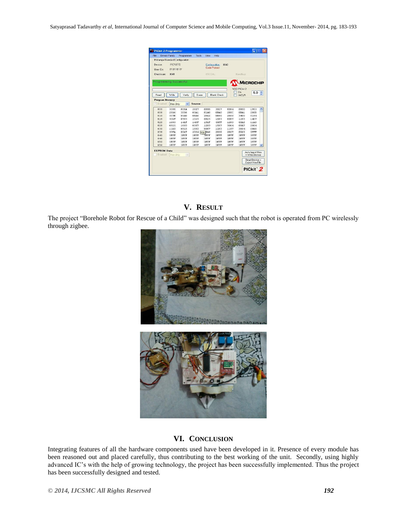Satyaprasad Tadavarthy *et al*, International Journal of Computer Science and Mobile Computing, Vol.3 Issue.11, November- 2014, pg. 183-193

| Device:                 | Midrange/Standard Configuration | Programmer   | Tools       | View                | Help               |                  |                           |             |  |
|-------------------------|---------------------------------|--------------|-------------|---------------------|--------------------|------------------|---------------------------|-------------|--|
|                         | <b>PIC16E72</b>                 |              |             |                     | Configuration:     | n <sub>042</sub> |                           |             |  |
|                         |                                 |              |             | <b>Code Protect</b> |                    |                  |                           |             |  |
| Heer IDs:               | FF FF FF FF                     |              |             |                     |                    |                  |                           |             |  |
| Checksum                | 0041                            |              |             | OSCCAL:             |                    |                  | BandGap:                  |             |  |
| Programming Successful. |                                 |              |             |                     |                    |                  |                           | MICROCHIP   |  |
|                         |                                 |              |             |                     |                    |                  | VDD PICkit 2              |             |  |
| Read                    | Write                           | Verifu       | Frase       |                     | <b>Blank Check</b> |                  | <b>Dn</b><br><b>/MCLR</b> | 5.0         |  |
|                         |                                 |              |             |                     |                    |                  |                           |             |  |
| <b>Program Memory</b>   |                                 |              |             |                     |                    |                  |                           |             |  |
| V Enabled               | Hex Only                        | $\checkmark$ | Source:     |                     |                    |                  |                           |             |  |
| nnn                     | 3000                            | nnsa         | 2817        | nnnn                | 3027               | 0084             | nson                      | 1903        |  |
| nns                     | 2816                            | 3006         | 1400        | <b>01A0</b>         | OBAO               | 2800             | <b>OBA1</b>               | <b>280B</b> |  |
| 010                     | 307B                            | <b>00A0</b>  | <b>OBA0</b> | 2812                | <b>0B80</b>        | 2809             | 3400                      | n184        |  |
| 018                     | 301F                            | 0583         | 1025        | 0825                | 1683               | 0087             | 1283                      | 1407        |  |
| 020                     | 1683                            | 141F         | 149F        | 151F                | 30FF               | 1283             | 00A5                      | 11A5        |  |
| 028                     | 0825                            | 1683         | 0087        | 1283                | 1587               | 3064             | 00A7                      | 2004        |  |
| 030                     | 11A5                            | 0825         | 1683        | 0087                | 1283               | 1187             | 3004                      | 0046        |  |
| 038                     | 30FA                            | 0047         |             | 2004 03A BA6        | 2838               | 2827             | 0063                      | 3FFF        |  |
| 0.40                    | <b>SFFF</b>                     | 3FFF         | 3FFF        | <b>SFFF</b>         | 3FFF               | 3FFF             | 3FFF                      | 3FFF        |  |
| 048                     | <b>SEFF</b>                     | 3FFF         | 3FFF        | 3FFF                | 3FFFF              | 3FFF             | 3FFF                      | <b>SFFF</b> |  |
|                         | <b>SEEF</b>                     | 3FFF         | 3FFFF       | 3FFF                | 3FFFF              | 3FFF             | 3FFF                      | 3FFF        |  |
| 0.50                    | 3FFF                            | 3FFF         | 3FFF        | 3FFF                | 3FFF               | 3FFF             | 3FFF                      | 3FFF        |  |

# **V. RESULT**

The project "Borehole Robot for Rescue of a Child" was designed such that the robot is operated from PC wirelessly through zigbee.



# **VI. CONCLUSION**

Integrating features of all the hardware components used have been developed in it. Presence of every module has been reasoned out and placed carefully, thus contributing to the best working of the unit. Secondly, using highly advanced IC"s with the help of growing technology, the project has been successfully implemented. Thus the project has been successfully designed and tested.